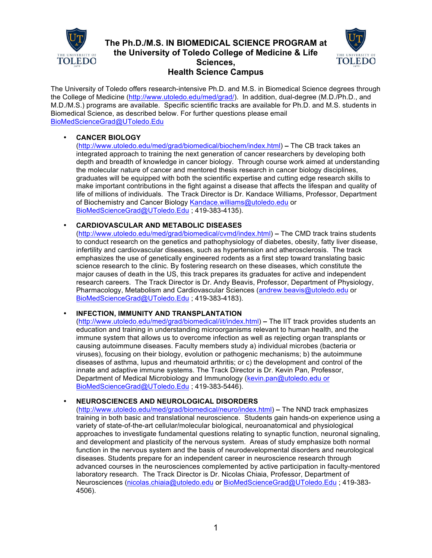

# **The Ph.D./M.S. IN BIOMEDICAL SCIENCE PROGRAM at the University of Toledo College of Medicine & Life Sciences, Health Science Campus**



The University of Toledo offers research-intensive Ph.D. and M.S. in Biomedical Science degrees through the College of Medicine (http://www.utoledo.edu/med/grad/). In addition, dual-degree (M.D./Ph.D., and M.D./M.S.) programs are available. Specific scientific tracks are available for Ph.D. and M.S. students in Biomedical Science, as described below. For further questions please email BioMedScienceGrad@UToledo.Edu

# • **CANCER BIOLOGY**

(http://www.utoledo.edu/med/grad/biomedical/biochem/index.html) **–** The CB track takes an integrated approach to training the next generation of cancer researchers by developing both depth and breadth of knowledge in cancer biology. Through course work aimed at understanding the molecular nature of cancer and mentored thesis research in cancer biology disciplines, graduates will be equipped with both the scientific expertise and cutting edge research skills to make important contributions in the fight against a disease that affects the lifespan and quality of life of millions of individuals. The Track Director is Dr. Kandace Williams, Professor, Department of Biochemistry and Cancer Biology Kandace.williams@utoledo.edu or BioMedScienceGrad@UToledo.Edu ; 419-383-4135).

# • **CARDIOVASCULAR AND METABOLIC DISEASES**

(http://www.utoledo.edu/med/grad/biomedical/cvmd/index.html) **–** The CMD track trains students to conduct research on the genetics and pathophysiology of diabetes, obesity, fatty liver disease, infertility and cardiovascular diseases, such as hypertension and atherosclerosis. The track emphasizes the use of genetically engineered rodents as a first step toward translating basic science research to the clinic. By fostering research on these diseases, which constitute the major causes of death in the US, this track prepares its graduates for active and independent research careers. The Track Director is Dr. Andy Beavis, Professor, Department of Physiology, Pharmacology, Metabolism and Cardiovascular Sciences (andrew.beavis@utoledo.edu or BioMedScienceGrad@UToledo.Edu ; 419-383-4183).

# • **INFECTION, IMMUNITY AND TRANSPLANTATION**

(http://www.utoledo.edu/med/grad/biomedical/iit/index.html) **–** The IIT track provides students an education and training in understanding microorganisms relevant to human health, and the immune system that allows us to overcome infection as well as rejecting organ transplants or causing autoimmune diseases. Faculty members study a) individual microbes (bacteria or viruses), focusing on their biology, evolution or pathogenic mechanisms; b) the autoimmune diseases of asthma, lupus and rheumatoid arthritis; or c) the development and control of the innate and adaptive immune systems. The Track Director is Dr. Kevin Pan, Professor, Department of Medical Microbiology and Immunology (kevin.pan@utoledo.edu or BioMedScienceGrad@UToledo.Edu ; 419-383-5446).

# • **NEUROSCIENCES AND NEUROLOGICAL DISORDERS**

(http://www.utoledo.edu/med/grad/biomedical/neuro/index.html) **–** The NND track emphasizes training in both basic and translational neuroscience. Students gain hands-on experience using a variety of state-of-the-art cellular/molecular biological, neuroanatomical and physiological approaches to investigate fundamental questions relating to synaptic function, neuronal signaling, and development and plasticity of the nervous system. Areas of study emphasize both normal function in the nervous system and the basis of neurodevelopmental disorders and neurological diseases. Students prepare for an independent career in neuroscience research through advanced courses in the neurosciences complemented by active participation in faculty-mentored laboratory research. The Track Director is Dr. Nicolas Chiaia, Professor, Department of Neurosciences (nicolas.chiaia@utoledo.edu or BioMedScienceGrad@UToledo.Edu ; 419-383- 4506).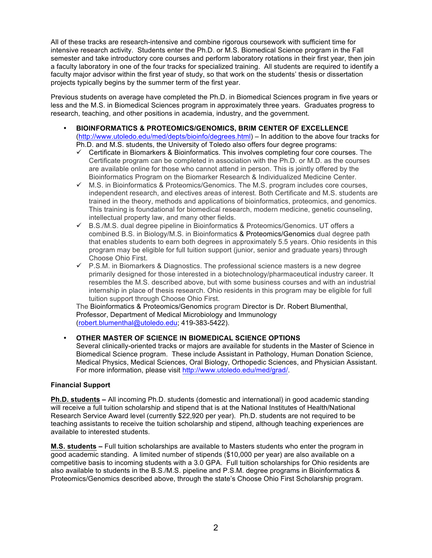All of these tracks are research-intensive and combine rigorous coursework with sufficient time for intensive research activity. Students enter the Ph.D. or M.S. Biomedical Science program in the Fall semester and take introductory core courses and perform laboratory rotations in their first year, then join a faculty laboratory in one of the four tracks for specialized training. All students are required to identify a faculty major advisor within the first year of study, so that work on the students' thesis or dissertation projects typically begins by the summer term of the first year.

Previous students on average have completed the Ph.D. in Biomedical Sciences program in five years or less and the M.S. in Biomedical Sciences program in approximately three years. Graduates progress to research, teaching, and other positions in academia, industry, and the government.

- **BIOINFORMATICS & PROTEOMICS/GENOMICS, BRIM CENTER OF EXCELLENCE** (http://www.utoledo.edu/med/depts/bioinfo/degrees.html) – In addition to the above four tracks for Ph.D. and M.S. students, the University of Toledo also offers four degree programs:
	- $\checkmark$  Certificate in Biomarkers & Bioinformatics. This involves completing four core courses. The Certificate program can be completed in association with the Ph.D. or M.D. as the courses are available online for those who cannot attend in person. This is jointly offered by the Bioinformatics Program on the Biomarker Research & Individualized Medicine Center.
	- $\checkmark$  M.S. in Bioinformatics & Proteomics/Genomics. The M.S. program includes core courses, independent research, and electives areas of interest. Both Certificate and M.S. students are trained in the theory, methods and applications of bioinformatics, proteomics, and genomics. This training is foundational for biomedical research, modern medicine, genetic counseling, intellectual property law, and many other fields.
	- $\checkmark$  B.S./M.S. dual degree pipeline in Bioinformatics & Proteomics/Genomics. UT offers a combined B.S. in Biology/M.S. in Bioinformatics & Proteomics/Genomics dual degree path that enables students to earn both degrees in approximately 5.5 years. Ohio residents in this program may be eligible for full tuition support (junior, senior and graduate years) through Choose Ohio First.
	- $\checkmark$  P.S.M. in Biomarkers & Diagnostics. The professional science masters is a new degree primarily designed for those interested in a biotechnology/pharmaceutical industry career. It resembles the M.S. described above, but with some business courses and with an industrial internship in place of thesis research. Ohio residents in this program may be eligible for full tuition support through Choose Ohio First.

The Bioinformatics & Proteomics/Genomics program Director is Dr. Robert Blumenthal, Professor, Department of Medical Microbiology and Immunology (robert.blumenthal@utoledo.edu; 419-383-5422).

# • **OTHER MASTER OF SCIENCE IN BIOMEDICAL SCIENCE OPTIONS**

Several clinically-oriented tracks or majors are available for students in the Master of Science in Biomedical Science program. These include Assistant in Pathology, Human Donation Science, Medical Physics, Medical Sciences, Oral Biology, Orthopedic Sciences, and Physician Assistant. For more information, please visit http://www.utoledo.edu/med/grad/.

#### **Financial Support**

**Ph.D. students –** All incoming Ph.D. students (domestic and international) in good academic standing will receive a full tuition scholarship and stipend that is at the National Institutes of Health/National Research Service Award level (currently \$22,920 per year). Ph.D. students are not required to be teaching assistants to receive the tuition scholarship and stipend, although teaching experiences are available to interested students.

**M.S. students –** Full tuition scholarships are available to Masters students who enter the program in good academic standing. A limited number of stipends (\$10,000 per year) are also available on a competitive basis to incoming students with a 3.0 GPA. Full tuition scholarships for Ohio residents are also available to students in the B.S./M.S. pipeline and P.S.M. degree programs in Bioinformatics & Proteomics/Genomics described above, through the state's Choose Ohio First Scholarship program.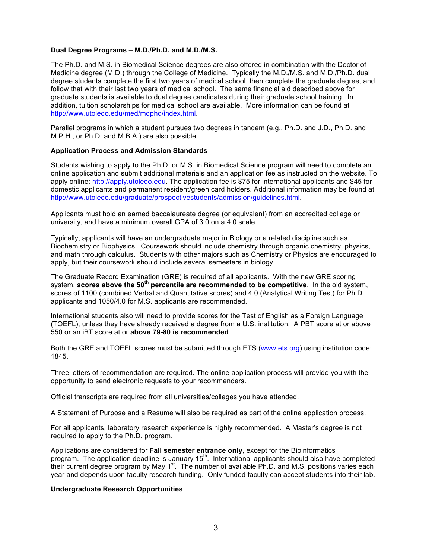#### **Dual Degree Programs – M.D./Ph.D. and M.D./M.S.**

The Ph.D. and M.S. in Biomedical Science degrees are also offered in combination with the Doctor of Medicine degree (M.D.) through the College of Medicine. Typically the M.D./M.S. and M.D./Ph.D. dual degree students complete the first two years of medical school, then complete the graduate degree, and follow that with their last two years of medical school. The same financial aid described above for graduate students is available to dual degree candidates during their graduate school training. In addition, tuition scholarships for medical school are available. More information can be found at http://www.utoledo.edu/med/mdphd/index.html.

Parallel programs in which a student pursues two degrees in tandem (e.g., Ph.D. and J.D., Ph.D. and M.P.H., or Ph.D. and M.B.A.) are also possible.

#### **Application Process and Admission Standards**

Students wishing to apply to the Ph.D. or M.S. in Biomedical Science program will need to complete an online application and submit additional materials and an application fee as instructed on the website. To apply online: http://apply.utoledo.edu. The application fee is \$75 for international applicants and \$45 for domestic applicants and permanent resident/green card holders. Additional information may be found at http://www.utoledo.edu/graduate/prospectivestudents/admission/guidelines.html.

Applicants must hold an earned baccalaureate degree (or equivalent) from an accredited college or university, and have a minimum overall GPA of 3.0 on a 4.0 scale.

Typically, applicants will have an undergraduate major in Biology or a related discipline such as Biochemistry or Biophysics. Coursework should include chemistry through organic chemistry, physics, and math through calculus. Students with other majors such as Chemistry or Physics are encouraged to apply, but their coursework should include several semesters in biology.

The Graduate Record Examination (GRE) is required of all applicants. With the new GRE scoring system, **scores above the 50th percentile are recommended to be competitive**. In the old system, scores of 1100 (combined Verbal and Quantitative scores) and 4.0 (Analytical Writing Test) for Ph.D. applicants and 1050/4.0 for M.S. applicants are recommended.

International students also will need to provide scores for the Test of English as a Foreign Language (TOEFL), unless they have already received a degree from a U.S. institution. A PBT score at or above 550 or an iBT score at or **above 79-80 is recommended**.

Both the GRE and TOEFL scores must be submitted through ETS (www.ets.org) using institution code: 1845.

Three letters of recommendation are required. The online application process will provide you with the opportunity to send electronic requests to your recommenders.

Official transcripts are required from all universities/colleges you have attended.

A Statement of Purpose and a Resume will also be required as part of the online application process.

For all applicants, laboratory research experience is highly recommended. A Master's degree is not required to apply to the Ph.D. program.

Applications are considered for **Fall semester entrance only**, except for the Bioinformatics program. The application deadline is January 15<sup>th</sup>. International applicants should also have completed their current degree program by May 1<sup>st</sup>. The number of available Ph.D. and M.S. positions varies each year and depends upon faculty research funding. Only funded faculty can accept students into their lab.

#### **Undergraduate Research Opportunities**